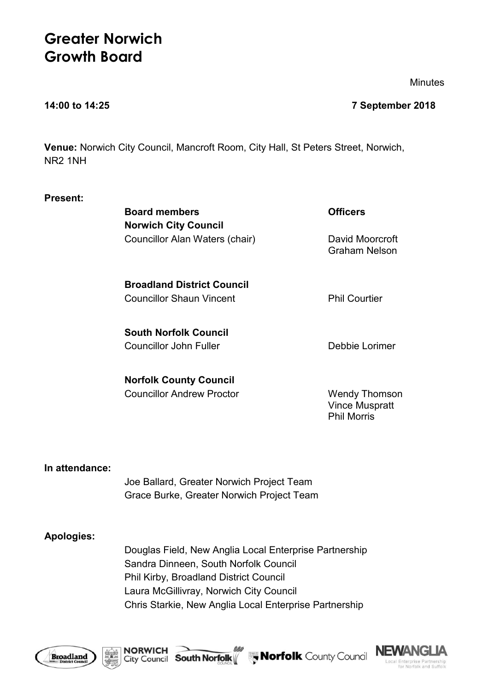# **Greater Norwich Growth Board**

**Minutes** 

### **14:00 to 14:25 7 September 2018**

**Venue:** Norwich City Council, Mancroft Room, City Hall, St Peters Street, Norwich, NR2 1NH

| <b>Present:</b> |  |
|-----------------|--|
|-----------------|--|

**Board members Officers Norwich City Council** Councillor Alan Waters (chair) David Moorcroft

Graham Nelson

**Broadland District Council** Councillor Shaun Vincent **Phil Courtier** 

**South Norfolk Council** Councillor John Fuller **Debbie Lorimer** 

**Norfolk County Council** Councillor Andrew Proctor Wendy Thomson

Vince Muspratt Phil Morris

# **In attendance:**

Joe Ballard, Greater Norwich Project Team Grace Burke, Greater Norwich Project Team

# **Apologies:**

Douglas Field, New Anglia Local Enterprise Partnership Sandra Dinneen, South Norfolk Council Phil Kirby, Broadland District Council Laura McGillivray, Norwich City Council Chris Starkie, New Anglia Local Enterprise Partnership





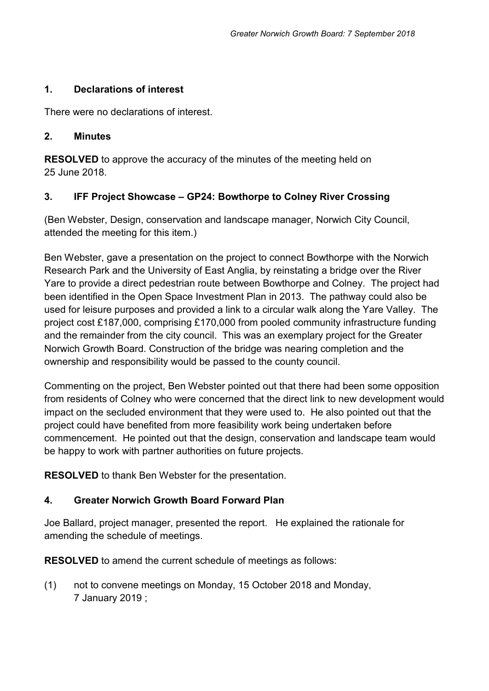# **1. Declarations of interest**

There were no declarations of interest.

# **2. Minutes**

**RESOLVED** to approve the accuracy of the minutes of the meeting held on 25 June 2018.

# **3. IFF Project Showcase – GP24: Bowthorpe to Colney River Crossing**

(Ben Webster, Design, conservation and landscape manager, Norwich City Council, attended the meeting for this item.)

Ben Webster, gave a presentation on the project to connect Bowthorpe with the Norwich Research Park and the University of East Anglia, by reinstating a bridge over the River Yare to provide a direct pedestrian route between Bowthorpe and Colney. The project had been identified in the Open Space Investment Plan in 2013. The pathway could also be used for leisure purposes and provided a link to a circular walk along the Yare Valley. The project cost £187,000, comprising £170,000 from pooled community infrastructure funding and the remainder from the city council. This was an exemplary project for the Greater Norwich Growth Board. Construction of the bridge was nearing completion and the ownership and responsibility would be passed to the county council.

Commenting on the project, Ben Webster pointed out that there had been some opposition from residents of Colney who were concerned that the direct link to new development would impact on the secluded environment that they were used to. He also pointed out that the project could have benefited from more feasibility work being undertaken before commencement. He pointed out that the design, conservation and landscape team would be happy to work with partner authorities on future projects.

**RESOLVED** to thank Ben Webster for the presentation.

# **4. Greater Norwich Growth Board Forward Plan**

Joe Ballard, project manager, presented the report. He explained the rationale for amending the schedule of meetings.

**RESOLVED** to amend the current schedule of meetings as follows:

(1) not to convene meetings on Monday, 15 October 2018 and Monday, 7 January 2019 ;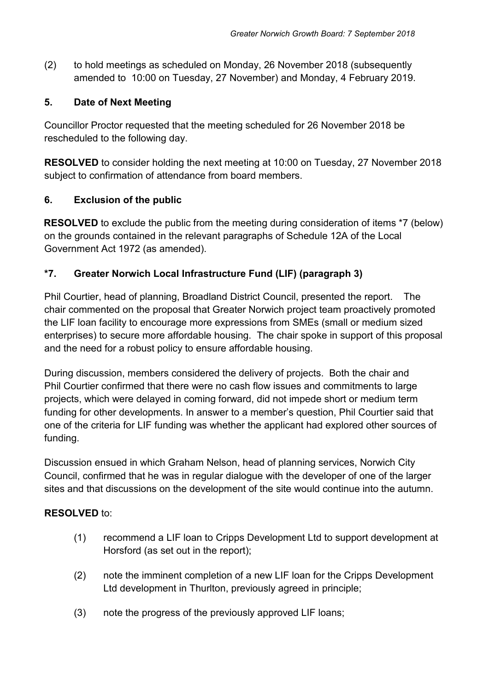(2) to hold meetings as scheduled on Monday, 26 November 2018 (subsequently amended to 10:00 on Tuesday, 27 November) and Monday, 4 February 2019.

# **5. Date of Next Meeting**

Councillor Proctor requested that the meeting scheduled for 26 November 2018 be rescheduled to the following day.

**RESOLVED** to consider holding the next meeting at 10:00 on Tuesday, 27 November 2018 subject to confirmation of attendance from board members.

# **6. Exclusion of the public**

**RESOLVED** to exclude the public from the meeting during consideration of items \*7 (below) on the grounds contained in the relevant paragraphs of Schedule 12A of the Local Government Act 1972 (as amended).

# **\*7. Greater Norwich Local Infrastructure Fund (LIF) (paragraph 3)**

Phil Courtier, head of planning, Broadland District Council, presented the report. The chair commented on the proposal that Greater Norwich project team proactively promoted the LIF loan facility to encourage more expressions from SMEs (small or medium sized enterprises) to secure more affordable housing. The chair spoke in support of this proposal and the need for a robust policy to ensure affordable housing.

During discussion, members considered the delivery of projects. Both the chair and Phil Courtier confirmed that there were no cash flow issues and commitments to large projects, which were delayed in coming forward, did not impede short or medium term funding for other developments. In answer to a member's question, Phil Courtier said that one of the criteria for LIF funding was whether the applicant had explored other sources of funding.

Discussion ensued in which Graham Nelson, head of planning services, Norwich City Council, confirmed that he was in regular dialogue with the developer of one of the larger sites and that discussions on the development of the site would continue into the autumn.

# **RESOLVED** to:

- (1) recommend a LIF loan to Cripps Development Ltd to support development at Horsford (as set out in the report);
- (2) note the imminent completion of a new LIF loan for the Cripps Development Ltd development in Thurlton, previously agreed in principle;
- (3) note the progress of the previously approved LIF loans;